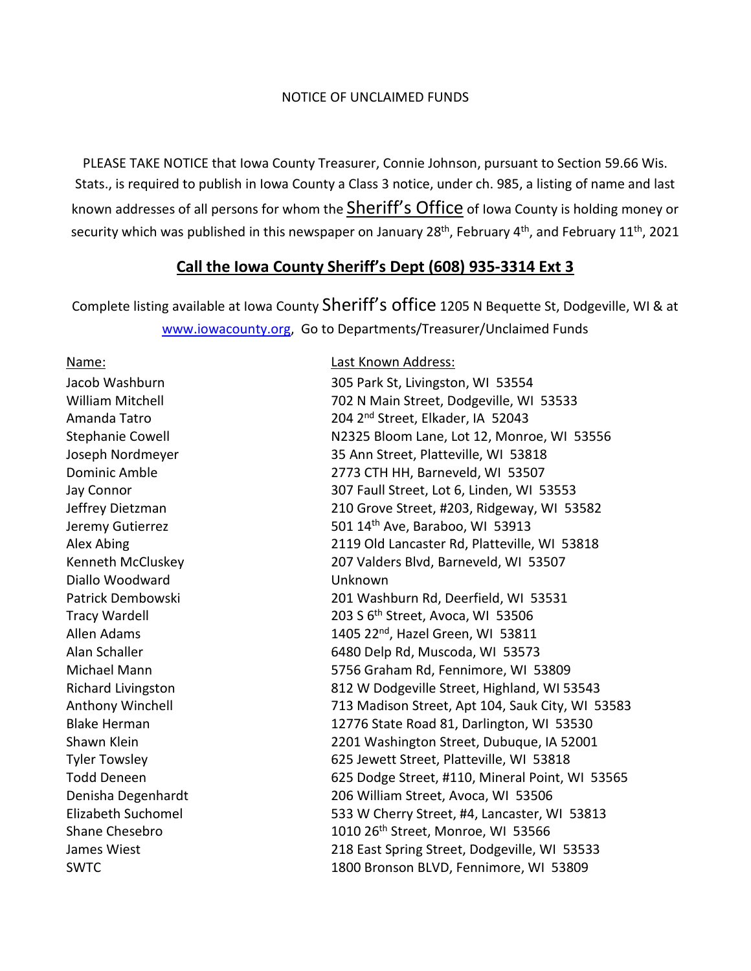## NOTICE OF UNCLAIMED FUNDS

PLEASE TAKE NOTICE that Iowa County Treasurer, Connie Johnson, pursuant to Section 59.66 Wis. Stats., is required to publish in Iowa County a Class 3 notice, under ch. 985, a listing of name and last known addresses of all persons for whom the Sheriff's Office of Iowa County is holding money or security which was published in this newspaper on January 28<sup>th</sup>, February 4<sup>th</sup>, and February 11<sup>th</sup>, 2021

## **Call the Iowa County Sheriff's Dept (608) 935-3314 Ext 3**

Complete listing available at Iowa County Sheriff's office 1205 N Bequette St, Dodgeville, WI & at [www.iowacounty.org,](http://www.iowacounty.org/) Go to Departments/Treasurer/Unclaimed Funds

**Name: Name: Name: Name: Name: Name: Name: Name: Name: Name: Name: Name: Name: Name: Name: Name: Name: Name: Name: Name: Name: N** Diallo Woodward Unknown

Jacob Washburn 305 Park St, Livingston, WI 53554 William Mitchell **1988** 102 N Main Street, Dodgeville, WI 53533 Amanda Tatro 204 2<sup>nd</sup> Street, Elkader, IA 52043 Stephanie Cowell N2325 Bloom Lane, Lot 12, Monroe, WI 53556 Joseph Nordmeyer 35 Ann Street, Platteville, WI 53818 Dominic Amble 2773 CTH HH, Barneveld, WI 53507 Jay Connor 307 Faull Street, Lot 6, Linden, WI 53553 Jeffrey Dietzman 210 Grove Street, #203, Ridgeway, WI 53582 Jeremy Gutierrez 1980 100 and 501 14<sup>th</sup> Ave, Baraboo, WI 53913 Alex Abing 2119 Old Lancaster Rd, Platteville, WI 53818 Kenneth McCluskey 207 Valders Blvd, Barneveld, WI 53507 Patrick Dembowski 201 Washburn Rd, Deerfield, WI 53531 Tracy Wardell 203 S 6th Street, Avoca, WI 53506 Allen Adams 1405 22<sup>nd</sup>, Hazel Green, WI 53811 Alan Schaller 6480 Delp Rd, Muscoda, WI 53573 Michael Mann 5756 Graham Rd, Fennimore, WI 53809 Richard Livingston 812 W Dodgeville Street, Highland, WI 53543 Anthony Winchell 713 Madison Street, Apt 104, Sauk City, WI 53583 Blake Herman 12776 State Road 81, Darlington, WI 53530 Shawn Klein 2201 Washington Street, Dubuque, IA 52001 Tyler Towsley 625 Jewett Street, Platteville, WI 53818 Todd Deneen **625 Dodge Street, #110, Mineral Point, WI 53565** Denisha Degenhardt 206 William Street, Avoca, WI 53506 Elizabeth Suchomel 533 W Cherry Street, #4, Lancaster, WI 53813 Shane Chesebro 1010 26<sup>th</sup> Street, Monroe, WI 53566 James Wiest 218 East Spring Street, Dodgeville, WI 53533 SWTC 1800 Bronson BLVD, Fennimore, WI 53809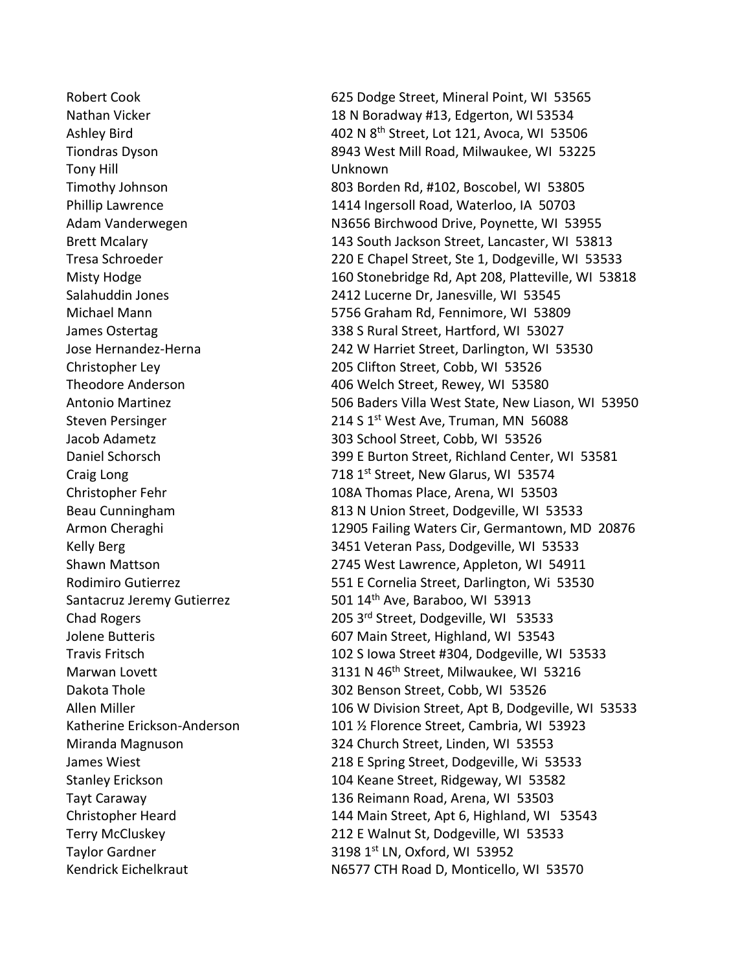Tony Hill Unknown

Robert Cook 625 Dodge Street, Mineral Point, WI 53565 Nathan Vicker 18 N Boradway #13, Edgerton, WI 53534 Ashley Bird  $402$  N  $8^{th}$  Street, Lot 121, Avoca, WI 53506 Tiondras Dyson 8943 West Mill Road, Milwaukee, WI 53225 Timothy Johnson 803 Borden Rd, #102, Boscobel, WI 53805 Phillip Lawrence 1414 Ingersoll Road, Waterloo, IA 50703 Adam Vanderwegen N3656 Birchwood Drive, Poynette, WI 53955 Brett Mcalary 143 South Jackson Street, Lancaster, WI 53813 Tresa Schroeder 220 E Chapel Street, Ste 1, Dodgeville, WI 53533 Misty Hodge 160 Stonebridge Rd, Apt 208, Platteville, WI 53818 Salahuddin Jones 2412 Lucerne Dr, Janesville, WI 53545 Michael Mann 5756 Graham Rd, Fennimore, WI 53809 James Ostertag 338 S Rural Street, Hartford, WI 53027 Jose Hernandez-Herna 242 W Harriet Street, Darlington, WI 53530 Christopher Ley 205 Clifton Street, Cobb, WI 53526 Theodore Anderson 406 Welch Street, Rewey, WI 53580 Antonio Martinez 506 Baders Villa West State, New Liason, WI 53950 Steven Persinger 214 S 1st West Ave, Truman, MN 56088 Jacob Adametz 303 School Street, Cobb, WI 53526 Daniel Schorsch 399 E Burton Street, Richland Center, WI 53581 Craig Long  $218 \text{ T}^{\text{st}}$  Street, New Glarus, WI 53574 Christopher Fehr 108A Thomas Place, Arena, WI 53503 Beau Cunningham 813 N Union Street, Dodgeville, WI 53533 Armon Cheraghi 12905 Failing Waters Cir, Germantown, MD 20876 Kelly Berg 3451 Veteran Pass, Dodgeville, WI 53533 Shawn Mattson 2745 West Lawrence, Appleton, WI 54911 Rodimiro Gutierrez 551 E Cornelia Street, Darlington, Wi 53530 Santacruz Jeremy Gutierrez 501 14<sup>th</sup> Ave, Baraboo, WI 53913 Chad Rogers 205 3rd Street, Dodgeville, WI 53533 Jolene Butteris 607 Main Street, Highland, WI 53543 Travis Fritsch 102 S Iowa Street #304, Dodgeville, WI 53533 Marwan Lovett 3131 N 46th Street, Milwaukee, WI 53216 Dakota Thole 302 Benson Street, Cobb, WI 53526 Allen Miller 106 W Division Street, Apt B, Dodgeville, WI 53533 Katherine Erickson-Anderson 101 12 Florence Street, Cambria, WI 53923 Miranda Magnuson 324 Church Street, Linden, WI 53553 James Wiest 218 E Spring Street, Dodgeville, Wi 53533 Stanley Erickson 104 Keane Street, Ridgeway, WI 53582 Tayt Caraway 136 Reimann Road, Arena, WI 53503 Christopher Heard 144 Main Street, Apt 6, Highland, WI 53543 Terry McCluskey 212 E Walnut St, Dodgeville, WI 53533 Taylor Gardner 3198 1st LN, Oxford, WI 53952 Kendrick Eichelkraut N6577 CTH Road D, Monticello, WI 53570